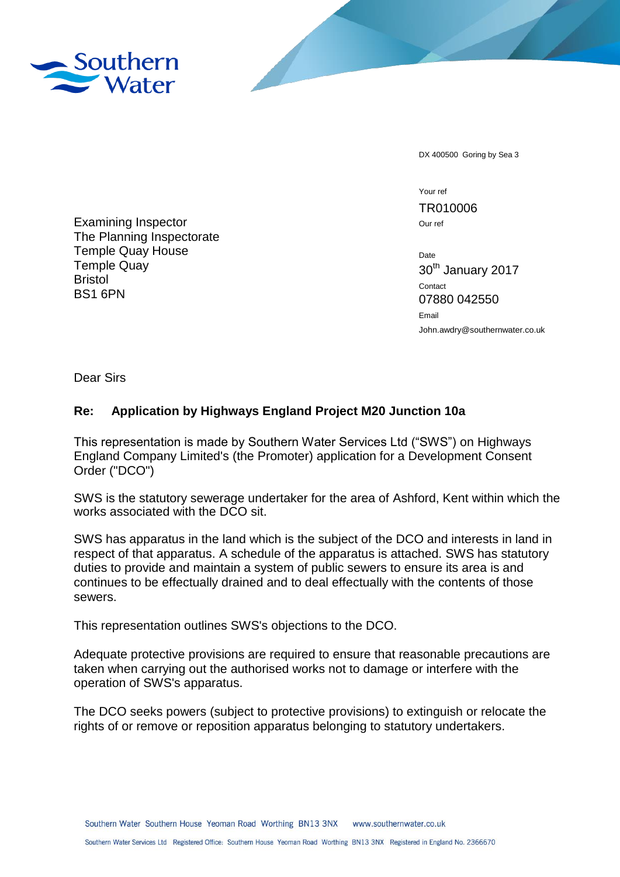

DX 400500 Goring by Sea 3

Your ref TR010006 Our ref

Date 30th January 2017 Contact 07880 042550 Email John.awdry@southernwater.co.uk

Examining Inspector The Planning Inspectorate Temple Quay House Temple Quay Bristol BS1 6PN

Dear Sirs

## **Re: Application by Highways England Project M20 Junction 10a**

This representation is made by Southern Water Services Ltd ("SWS") on Highways England Company Limited's (the Promoter) application for a Development Consent Order ("DCO")

SWS is the statutory sewerage undertaker for the area of Ashford, Kent within which the works associated with the DCO sit.

SWS has apparatus in the land which is the subject of the DCO and interests in land in respect of that apparatus. A schedule of the apparatus is attached. SWS has statutory duties to provide and maintain a system of public sewers to ensure its area is and continues to be effectually drained and to deal effectually with the contents of those sewers.

This representation outlines SWS's objections to the DCO.

Adequate protective provisions are required to ensure that reasonable precautions are taken when carrying out the authorised works not to damage or interfere with the operation of SWS's apparatus.

The DCO seeks powers (subject to protective provisions) to extinguish or relocate the rights of or remove or reposition apparatus belonging to statutory undertakers.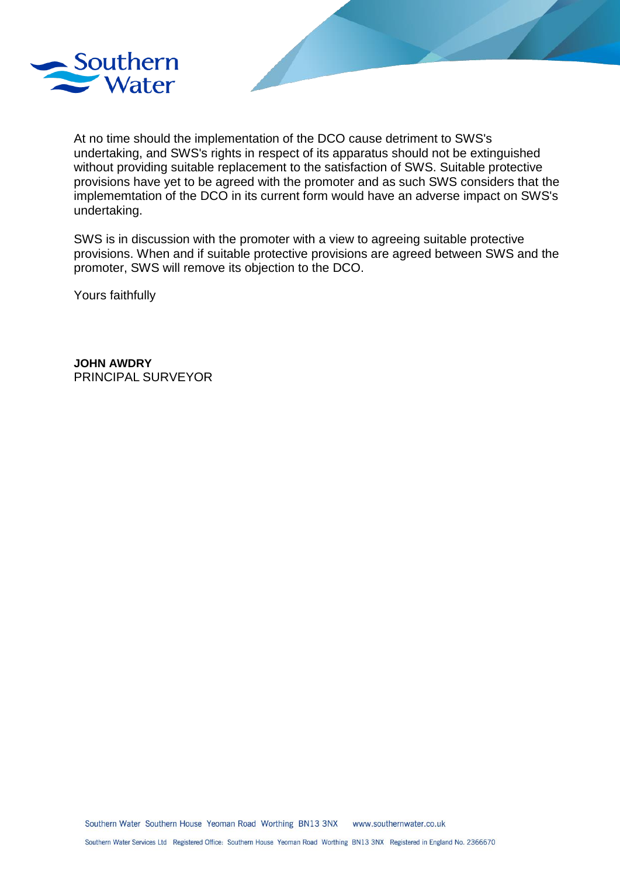

At no time should the implementation of the DCO cause detriment to SWS's undertaking, and SWS's rights in respect of its apparatus should not be extinguished without providing suitable replacement to the satisfaction of SWS. Suitable protective provisions have yet to be agreed with the promoter and as such SWS considers that the implememtation of the DCO in its current form would have an adverse impact on SWS's undertaking.

SWS is in discussion with the promoter with a view to agreeing suitable protective provisions. When and if suitable protective provisions are agreed between SWS and the promoter, SWS will remove its objection to the DCO.

Yours faithfully

**JOHN AWDRY** PRINCIPAL SURVEYOR